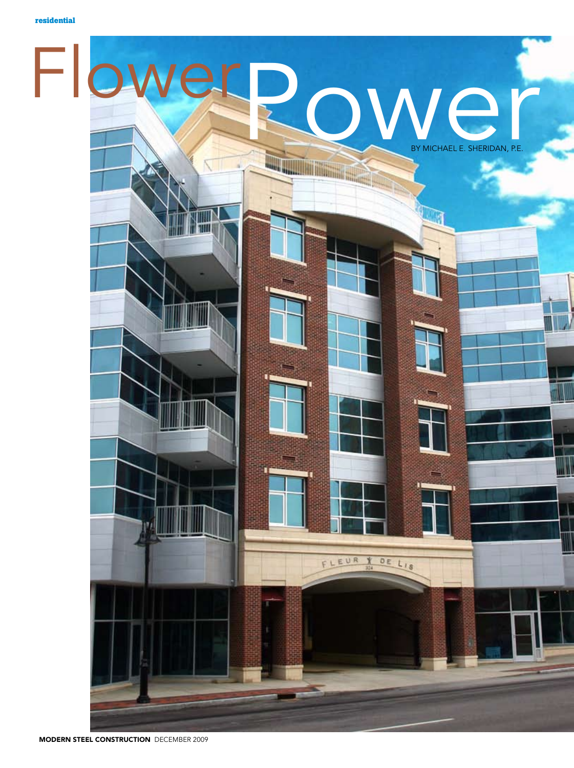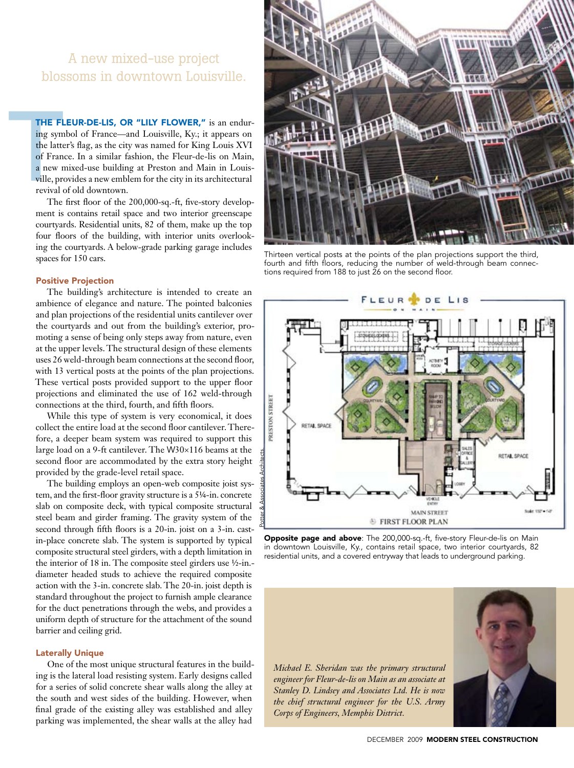# A new mixed-use project blossoms in downtown Louisville.

THE FI<br>
ing sym<br>
the latt<br>
of Fran<br>
a new r<br>
ville, pr<br>
revival<br>
The THE FLEUR-DE-LIS, OR "LILY FLOWER," is an enduring symbol of France—and Louisville, Ky.; it appears on the latter's flag, as the city was named for King Louis XVI of France. In a similar fashion, the Fleur-de-lis on Main, a new mixed-use building at Preston and Main in Louisville, provides a new emblem for the city in its architectural revival of old downtown.

The first floor of the 200,000-sq.-ft, five-story development is contains retail space and two interior greenscape courtyards. Residential units, 82 of them, make up the top four floors of the building, with interior units overlooking the courtyards. A below-grade parking garage includes spaces for 150 cars.

#### Positive Projection

The building's architecture is intended to create an ambience of elegance and nature. The pointed balconies and plan projections of the residential units cantilever over the courtyards and out from the building's exterior, promoting a sense of being only steps away from nature, even at the upper levels. The structural design of these elements uses 26 weld-through beam connections at the second floor, with 13 vertical posts at the points of the plan projections. These vertical posts provided support to the upper floor projections and eliminated the use of 162 weld-through connections at the third, fourth, and fifth floors.

While this type of system is very economical, it does collect the entire load at the second floor cantilever. Therefore, a deeper beam system was required to support this large load on a 9-ft cantilever. The W30×116 beams at the second floor are accommodated by the extra story height provided by the grade-level retail space.

The building employs an open-web composite joist system, and the first-floor gravity structure is a 5¼-in. concrete slab on composite deck, with typical composite structural steel beam and girder framing. The gravity system of the second through fifth floors is a 20-in. joist on a 3-in. castin-place concrete slab. The system is supported by typical composite structural steel girders, with a depth limitation in the interior of 18 in. The composite steel girders use ½-in. diameter headed studs to achieve the required composite action with the 3-in. concrete slab. The 20-in. joist depth is standard throughout the project to furnish ample clearance for the duct penetrations through the webs, and provides a uniform depth of structure for the attachment of the sound barrier and ceiling grid.

#### Laterally Unique

One of the most unique structural features in the building is the lateral load resisting system. Early designs called for a series of solid concrete shear walls along the alley at the south and west sides of the building. However, when final grade of the existing alley was established and alley parking was implemented, the shear walls at the alley had



Thirteen vertical posts at the points of the plan projections support the third, fourth and fifth floors, reducing the number of weld-through beam connections required from 188 to just 26 on the second floor.



Opposite page and above: The 200,000-sq.-ft, five-story Fleur-de-lis on Main in downtown Louisville, Ky., contains retail space, two interior courtyards, 82 residential units, and a covered entryway that leads to underground parking.

*Michael E. Sheridan was the primary structural engineer for Fleur-de-lis on Main as an associate at Stanley D. Lindsey and Associates Ltd. He is now the chief structural engineer for the U.S. Army Corps of Engineers, Memphis District.*